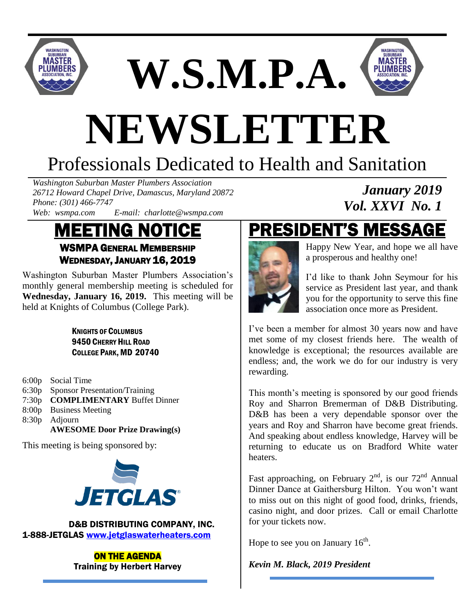

**W.S.M.P.A.**



# **NEWSLETTER**

# Professionals Dedicated to Health and Sanitation

*Washington Suburban Master Plumbers Association 26712 Howard Chapel Drive, Damascus, Maryland 20872 Phone: (301) 466-7747 Web: wsmpa.com E-mail: charlotte@wsmpa.com*

### MEETING NOTICE WSMPA GENERAL MEMBERSHIP WEDNESDAY, JANUARY 16, 2019

Washington Suburban Master Plumbers Association's monthly general membership meeting is scheduled for **Wednesday, January 16, 2019.** This meeting will be held at Knights of Columbus (College Park).

> KNIGHTS OF COLUMBUS 9450 CHERRY HILL ROAD COLLEGE PARK, MD 20740

- 6:00p Social Time
- 6:30p Sponsor Presentation/Training
- 7:30p **COMPLIMENTARY** Buffet Dinner
- 8:00p Business Meeting
- 8:30p Adjourn

**AWESOME Door Prize Drawing(s)**

This meeting is being sponsored by:



### **D&B DISTRIBUTING COMPANY, INC.** 1-888-JETGLAS [www.jetglaswaterheaters.com](http://www.jetglaswaterheaters.com/)

ON THE AGENDA Training by Herbert Harvey

# PRESIDENT'S MESSAGE



Happy New Year, and hope we all have a prosperous and healthy one!

*January 2019*

*Vol. XXVI No. 1*

I'd like to thank John Seymour for his service as President last year, and thank you for the opportunity to serve this fine association once more as President.

I've been a member for almost 30 years now and have met some of my closest friends here. The wealth of knowledge is exceptional; the resources available are endless; and, the work we do for our industry is very rewarding.

This month's meeting is sponsored by our good friends Roy and Sharron Bremerman of D&B Distributing. D&B has been a very dependable sponsor over the years and Roy and Sharron have become great friends. And speaking about endless knowledge, Harvey will be returning to educate us on Bradford White water heaters.

Fast approaching, on February  $2<sup>nd</sup>$ , is our  $72<sup>nd</sup>$  Annual Dinner Dance at Gaithersburg Hilton. You won't want to miss out on this night of good food, drinks, friends, casino night, and door prizes. Call or email Charlotte for your tickets now.

Hope to see you on January  $16<sup>th</sup>$ .

*Kevin M. Black, 2019 President*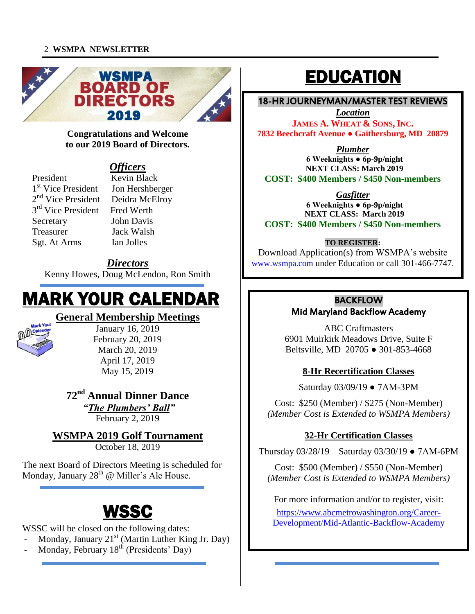#### 2 **WSMPA NEWSLETTER**



#### **Congratulations and Welcome to our 2019 Board of Directors.**

### *Officers*

President Kevin Black 1<sup>st</sup> Vice President Jon Hershberger 2<sup>nd</sup> Vice President Deidra McElroy 3<sup>rd</sup> Vice President Fred Werth Secretary John Davis Treasurer Jack Walsh Sgt. At Arms Ian Jolles

#### *Directors*

Kenny Howes, Doug McLendon, Ron Smith

# MARK YOUR CALENDAR

### **General Membership Meetings**



January 16, 2019 February 20, 2019 March 20, 2019 April 17, 2019 May 15, 2019

### **72nd Annual Dinner Dance**

*"The Plumbers' Ball"* February 2, 2019

### **WSMPA 2019 Golf Tournament**

October 18, 2019

The next Board of Directors Meeting is scheduled for Monday, January 28<sup>th</sup> @ Miller's Ale House.

# WSSC

I

WSSC will be closed on the following dates:

- Monday, January  $21^{st}$  (Martin Luther King Jr. Day)
- $Monday$ , February  $18<sup>th</sup>$  (Presidents' Day)

# EDUCATION

#### í 18-HR JOURNEYMAN/MASTER TEST REVIEWS

 **JAMES A. WHEAT & SONS, INC. 7832 Beechcraft Avenue ● Gaithersburg, MD 20879** *Location*

*Plumber*

 **6 Weeknights ● 6p-9p/night NEXT CLASS: March 2019**<br>100 Members / \$450 Non-**COST: \$400 Members / \$450 Non-members**

*Gasfitter*

 **6 Weeknights ● 6p-9p/night COST: \$400 Members / \$450 Non-members NEXT CLASS: March 2019**

### **TO REGISTER:**

Download Application(s) from w SMPA s website<br>[www.wsmpa.com](http://www.wsmpa.com/) under Education or call 301-466-7747. Download Application(s) from WSMPA's website

# **BACKFLOW**

### Mid Maryland Backflow Academy

ABC Craftmasters Beltsville, MD 20705 ● 301-853-4668 6901 Muirkirk Meadows Drive, Suite F

# **8-Hr Recertification Classes**

Saturday 03/09/19 ● 7AM-3PM

 Cost: \$250 (Member) / \$275 (Non-Member) *(Member Cost is Extended to WSMPA Members)*

### **32-Hr Certification Classes**

Thursday 03/28/19 – Saturday 03/30/19 ● 7AM-6PM

Cost: \$500 (Member) / \$550 (Non-Member)<br>Lamber Cost is Extended to WSMBA Member  $\ddot{\phantom{0}}$ *(Member Cost is Extended to WSMPA Members)*

For more information and/or to register, visit:

or more intormation and/or to register, visit~<br>[https://www.abcmetrowashington.org/Career-](https://www.abcmetrowashington.org/Career-Development/Mid-Atlantic-Backflow-Academy)[Development/Mid-Atlantic-Backflow-Academy](https://www.abcmetrowashington.org/Career-Development/Mid-Atlantic-Backflow-Academy)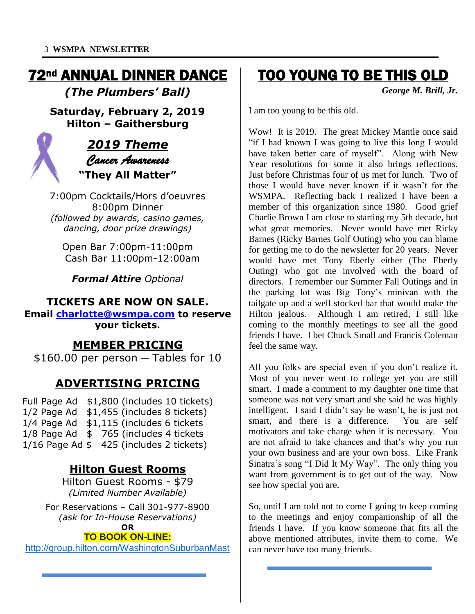# 72nd ANNUAL DINNER DANCE

*(The Plumbers' Ball)*

**Saturday, February 2, 2019 Hilton – Gaithersburg**



### *2019 Theme Cancer Awareness*  **"They All Matter"**

7:00pm Cocktails/Hors d'oeuvres 8:00pm Dinner *(followed by awards, casino games, dancing, door prize drawings)*

Open Bar 7:00pm-11:00pm Cash Bar 11:00pm-12:00am

*Formal Attire Optional*

### **TICKETS ARE NOW ON SALE.**

**Email [charlotte@wsmpa.com](mailto:charlotte@wsmpa.com) to reserve your tickets.**

### **MEMBER PRICING**

 $$160.00$  per person  $-$  Tables for 10

### **ADVERTISING PRICING**

Full Page Ad \$1,800 (includes 10 tickets) 1/2 Page Ad \$1,455 (includes 8 tickets) 1/4 Page Ad \$1,115 (includes 6 tickets 1/8 Page Ad \$ 765 (includes 4 tickets 1/16 Page Ad \$ 425 (includes 2 tickets)

### **Hilton Guest Rooms**

Hilton Guest Rooms - \$79 *(Limited Number Available)*

For Reservations – Call 301-977-8900 *(ask for In-House Reservations)*

**OR**

### **TO BOOK ON-LINE:**

[http://group.hilton.com/WashingtonSuburbanMast](https://na01.safelinks.protection.outlook.com/?url=http%3A%2F%2Fgroup.hilton.com%2FWashingtonSuburbanMast&data=02%7C01%7CVicky.Sheetz%40hilton.com%7C8bd1f453454b40eabed508d6767e7dbf%7C660292d2cfd54a3db7a7e8f7ee458a0a%7C0%7C0%7C636826682978259766&sdata=Yft4MAFW5j9qUcIu5S1YWQeggnZrIpRMbnIABO5abzA%3D&reserved=0)

 $\overline{a}$ 

## TOO YOUNG TO BE THIS OLD

*George M. Brill, Jr.*

I am too young to be this old.

Wow! It is 2019. The great Mickey Mantle once said "if I had known I was going to live this long I would have taken better care of myself". Along with New Year resolutions for some it also brings reflections. Just before Christmas four of us met for lunch. Two of those I would have never known if it wasn't for the WSMPA. Reflecting back I realized I have been a member of this organization since 1980. Good grief Charlie Brown I am close to starting my 5th decade, but what great memories. Never would have met Ricky Barnes (Ricky Barnes Golf Outing) who you can blame for getting me to do the newsletter for 20 years. Never would have met Tony Eberly either (The Eberly Outing) who got me involved with the board of directors. I remember our Summer Fall Outings and in the parking lot was Big Tony's minivan with the tailgate up and a well stocked bar that would make the Hilton jealous. Although I am retired, I still like coming to the monthly meetings to see all the good friends I have. I bet Chuck Small and Francis Coleman feel the same way.

All you folks are special even if you don't realize it. Most of you never went to college yet you are still smart. I made a comment to my daughter one time that someone was not very smart and she said he was highly intelligent. I said I didn't say he wasn't, he is just not smart, and there is a difference. You are self motivators and take charge when it is necessary. You are not afraid to take chances and that's why you run your own business and are your own boss. Like Frank Sinatra's song "I Did It My Way". The only thing you want from government is to get out of the way. Now see how special you are.

So, until I am told not to come I going to keep coming to the meetings and enjoy companionship of all the friends I have. If you know someone that fits all the above mentioned attributes, invite them to come. We can never have too many friends.